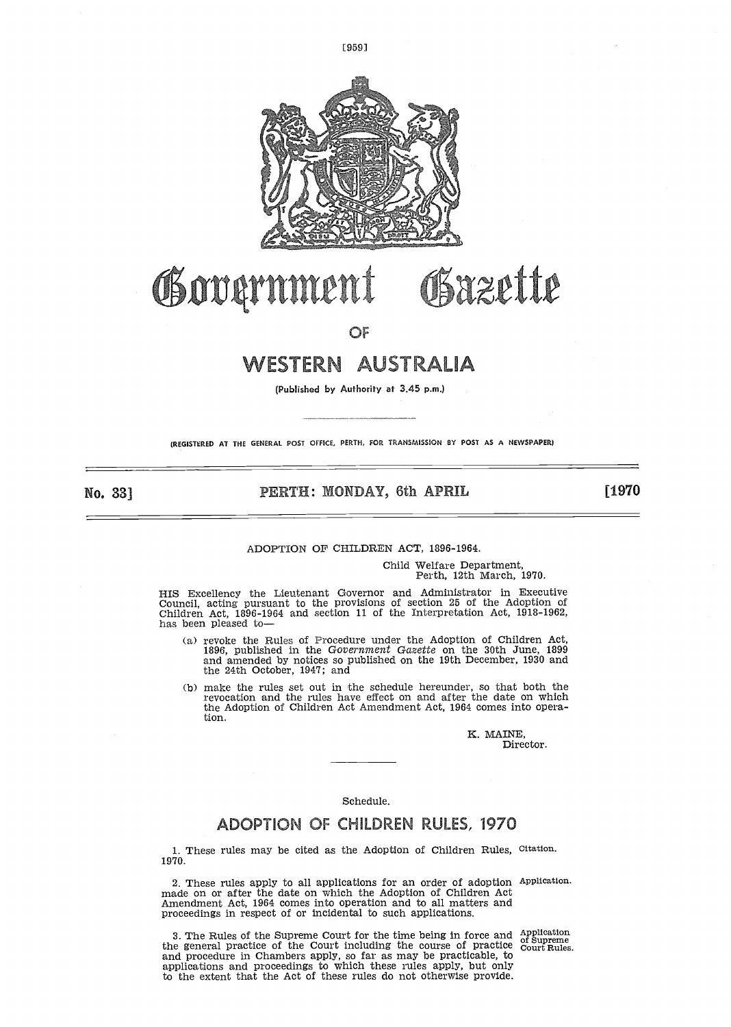

[9591

# WESTERN AUSTRALIA

(Published by Authority at 3.45 p.m.)

(REGISTERED AT THE GENERAL POST OFFICE, PERTH, FOR TRANSMISSION ®Y POST AS A NEWSPAPER)

No, 33]

# PERTH: MONDAY, 6th APRIL

[1970

#### ADOPTION OF CHILDREN ACT, 1896-1964.

Child Welfare Department, Perth, 12th March, 1970.

HIS Excellency the Lieutenant Governor and Administrator in Executive Council, acting pursuant to the provisions of section 25 of the Adoption of Children Act, 1896-1964 and section 11 of the Interpretation Act, 1918-1962, has been pleased to-

- (a) revoke the Rules of Procedure under the Adoption of Children Act, 1896, published in the Government Gazette on the 30th June, 1899 and amended by notices so published on the 19th December, 1930 and the 24th October, 1947; and
- (b) make the rules set out in the schedule hereunder, so that both the revocation and the rules have effect on and after the date on which the Adoption of Children Act Amendment Act, 1964 comes into operation .

K. MAINE, Director.

#### Schedule.

# ADOPTION OF CHILDREN RULES, 1970

1. These rules may be cited as the Adoption of Children Rules, Citation. 1970.

<sup>2</sup> . These rules apply to all applications for an order of adoption made on or after the date on which the Adoption of Children Act Amendment Act, 1964 comes into operation and to all matters and proceedings in respect of or incidental to such applications. Application.

3 . The Rules of the Supreme Court for the time being in force and the general practice of the Court including the course of practice and procedure in Chambers apply, so far as may be practicable, to applications and proceedings to which these rules apply, but only to the extent that the Act of these rules do not otherwise provide .

Application of Supreme Court Rules .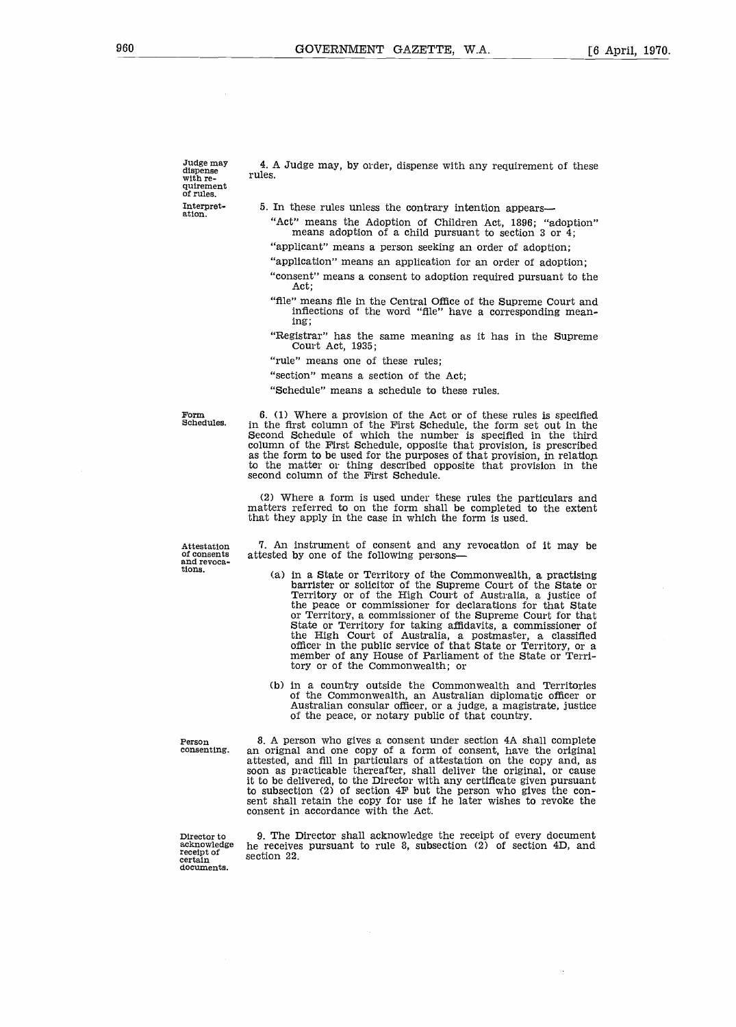Judge may dispense with re-quirement of rules. Interpretation .

4 . A Judge may, by order, dispense with any requirement of these rules.

- 5 . In these rules unless the contrary intention appears-
	- "Act" means the Adoption of Children Act, 1896; "adoption" means adoption of a child pursuant to section 3 or  $\overline{4}$ ;
	- "applicant" means a person seeking an order of adoption;
	- "application" means an application for an order of adoption;
	- "consent" means a consent to adoption required pursuant to the Act;
	- "file" means file in the Central Office of the Supreme Court and inflections of the word "file" have a corresponding meaning;
	- "Registrar" has the same meaning as it has in the Supreme Court Act, 1935 ;
	- "rule" means one of these rules;
	- "section" means a section of the Act;
	- "Schedule" means a schedule to these rules.

Form

6 . (1) Where a provision of the Act or of these rules is specified in the first column of the First Schedule, the form set out in the Second Schedule of which the number is specified in the third column of the First Schedule, opposite that provision, is prescribed as the form to be used for the purposes of that provision, in relation to the matter or thing described opposite that provision in the second column of the First Schedule.

(2) Where a form is used under these rules the particulars and matters referred to on the form shall be completed to the extent that they apply in the case in which the form is used.

Attestation and revoca-tions .

7 . An instrument of consent and any revocation of it may be attested by one of the following persons-

- (a) in a State or Territory of the Commonwealth, a practising barrister or solicitor of the Supreme Court of the State or<br>Territory or of the High Court of Australia, a justice of the peace or commissioner for declarations for that State or Territory, a commissioner of the Supreme Court for that State or Territory for taking affidavits, a commissioner of the High Court of Australia, a postmaster, a classified officer in the public service of that State or Territory, or a member of any House of Parliament of the State or Territory or of the Commonwealth; or
- (b) in a country outside the Commonwealth and Territories of the Commonwealth, an Australian diplomatic officer or Australian consular officer, or a judge, a magistrate, justice of the peace, or notary public of that country.

Person<br>consenting.

8. A person who gives a consent under section 4A shall complete an orignal and one copy of a form of consent, have the original attested, and fill in particulars of attestation on the copy and, as soon as practicable thereafter, shall deliver the original, or cause it to be delivered, to the Director with any certificate given pursuant to subsection (2) of section 4F but the person who gives the consent shall retain the copy for use if he later wishes to revoke the consent in accordance with the Act.

Director to acknowledge receipt of certain documents.

9. The Director shall acknowledge the receipt of every document he receives pursuant to rule 8, subsection (2) of section 4D, and section 22 .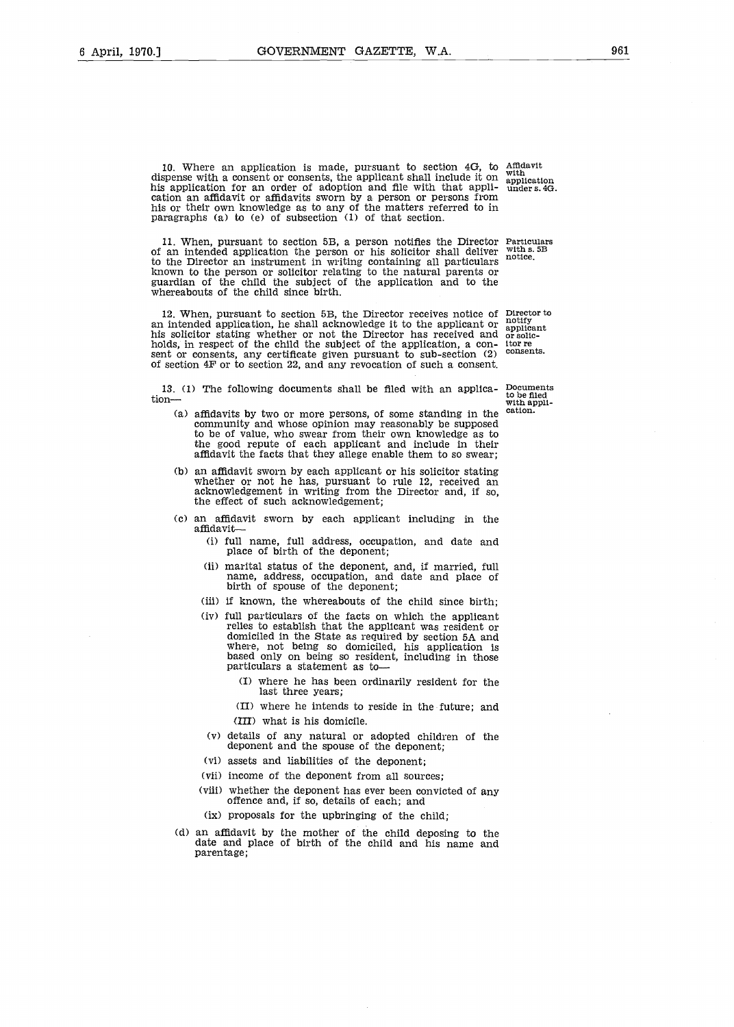10. Where an application is made, pursuant to section 4G, to amdavit<br>spense with a consent or consents the applicant shall include it on <sup>with</sup>.... dispense with a consent or consents, the applicant shall include it on his application for an order of adoption and file with that application an affidavit or affidavits sworn by a person or persons from his or their own knowledge as to any of the matters referred to in paragraphs (a) to (e) of subsection (1) of that section.

11 . When, pursuant to section 5B, a person notifies the Director Particulars of an intended application the person or his solicitor shall deliver to the Director an instrument in writing containing all particulars known to the person or solicitor relating to the natural parents or guardian of the child the subject of the application and to the whereabouts of the child since birth.

12. When, pursuant to section 5B, the Director receives notice of Director to an intended application, he shall acknowledge it to the applicant or his solicitor stating whether or not the Director has received and holds, in respect of the child the subject of the application, a consent or consents, any certificate given pursuant to sub-section (2) of section 4F or to section 22, and any revocation of such a consent.

13 . (1) The following documents shall be filed with an application- Documents to be filed with appli-

- (a) affidavits by two or more persons, of some standing in the community and whose opinion may reasonably be supposed to be of value, who swear from their own knowledge as to the good repute of each applicant and include in their affidavit the facts that they allege enable them to so swear ;
- (b) an affidavit sworn by each applicant or his solicitor stating whether or not he has, pursuant to rule 12, received an acknowledgement in writing from the Director and, if so, the effect of such acknowledgement;
- (c) an affidavit sworn by each applicant including in the affidavit-
	- (i) full name, full address, occupation, and date and place of birth of the deponent;
	- (ii) marital status of the deponent, and, if married, full name, address, occupation, and date and place of birth of spouse of the deponent ;
	- (iii) if known, the whereabouts of the child since birth;
	- (iv) full particulars of the facts on which the applicant relies to establish that the applicant was resident or domiciled in the State as required by section 5A and where, not being so domiciled, his application is based only on being so resident, including in those particulars a statement as to-
		- (I) where he has been ordinarily resident for the last three years;
		- (II) where he intends to reside in the future; and (III) what is his domicile.
	- (v) details of any natural or adopted children of the deponent and the spouse of the deponent;
	- (vi) assets and liabilities of the deponent:
	- (vii) income of the deponent from all sources;
	- (viii) whether the deponent has ever been convicted of any offence and, if so, details of each; and
	- (ix) proposals for the upbringing of the child:
- (d) an affidavit by the mother of the child deposing to the date and place of birth of the child and his name and parentage ;

application<br>under s. 4G.

 $with s.5B$ notice .

notify<br>applicant<br>or solicitor re consents.

cation .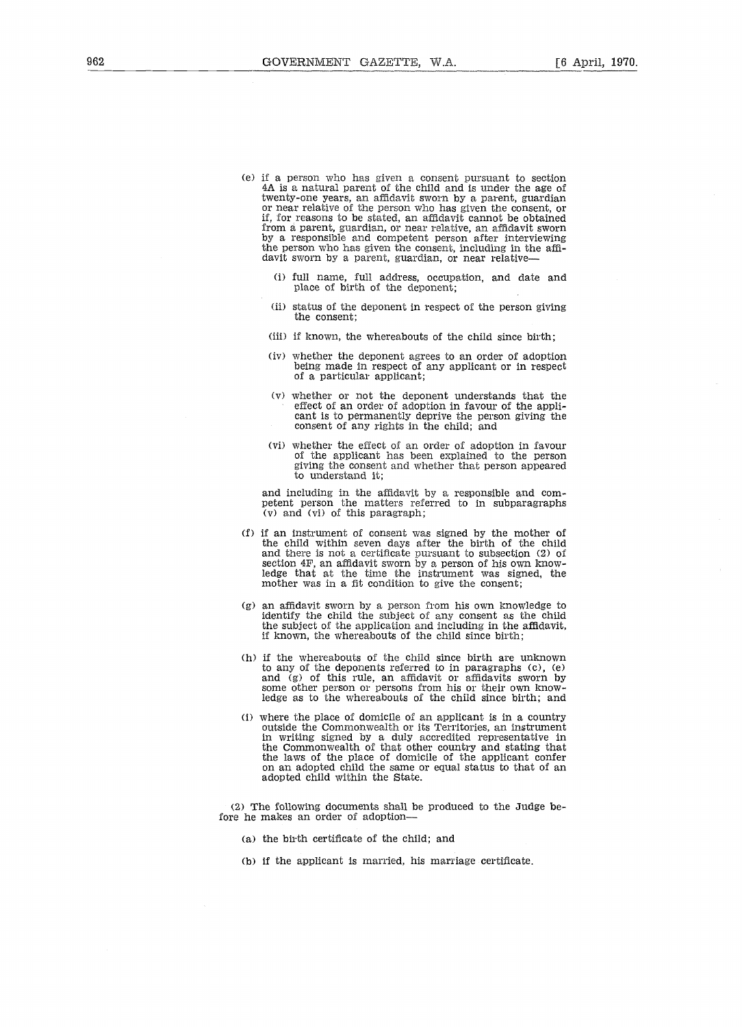- (e) if a person who has given a consent pursuant to section 4A is a natural parent of the child and is under the age of twenty-one years, an affidavit sworn by a parent, guardian or near relative of the person who has given the consent, or if, for reasons to be stated, an affidavit cannot be obtained from a parent, guardian, or near relative, an affidavit sworn by a responsible and competent person after interviewing the person who has given the consent, including in the affidavit sworn by a parent, guardian, or near relative-
	- (i) full name, full address, occupation, and date and place of birth of the deponent;
	- (ii) status of the deponent in respect of the person giving the consent:
	- (iii) if known, the whereabouts of the child since birth;
	- (iv) whether the deponent agrees to an order of adoption being made in respect of any applicant or in respect of a particular applicant;
	- (v) whether or not the deponent understands that the effect of an order of adoption in favour of the applicant is to permanently deprive the person giving the consent of any rights in the child; and
	- (vi) whether the effect of an order of adoption in favour of the applicant has been explained to the person giving the consent and whether that person appeared to understand it;

and including in the affidavit by a responsible and competent person the matters referred to in subparagraphs (v) and (vi) of this paragraph ;

- (f) if an instrument of consent was signed by the mother of the child within seven days after the birth of the child and there is not a certificate pursuant to subsection (2) of section 4F, an affidavit sworn by a person of his own knowledge that at the time the instrument was signed, the mother was in a fit condition to give the consent;
- (g) an affidavit sworn by a person from his own knowledge to identify the child the subject of any consent as the child the subject of the application and including in the affidavit, if known, the whereabouts of the child since birth ;
- (h) if the whereabouts of the child since birth are unknown to any of the deponents referred to in paragraphs (c), (e) and (g) of this rule, an affidavit or affidavits sworn by some other person or persons from his or their own knowledge as to the whereabouts of the child since birth; and
- (i) where the place of domicile of an applicant is in a country outside the Commonwealth or its Territories, an instrument in writing signed by a duly accredited representative in the Commonwealth of that other country and stating that the laws of the place of domicile of the applicant confer on an adopted child the same or equal status to that of an adopted child within the State,

(2) The following documents shall be produced to the Judge before he makes an order of adoption-

- (a) the birth certificate of the child; and
- (b) if the applicant is married, his marriage certificate.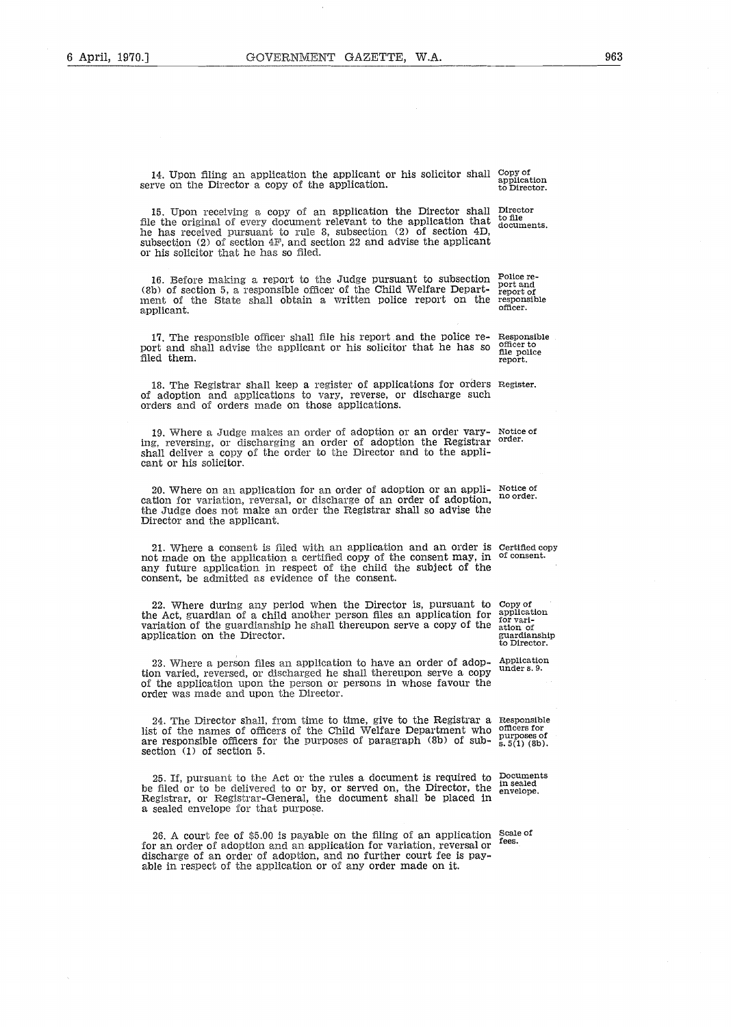14. Upon filing an application the applicant or his solicitor shall Copy of application serve on the Director a copy of the application.

application to Director.

15 . Upon receiving a copy of an application the Director shall Director file the original of every document relevant to the application that documents . he has received pursuant to rule 8, subsection (2) of section 4D, subsection (2) of section 4F, and section 22 and advise the applicant or his solicitor that he has so filed.

16. Before making a report to the Judge pursuant to subsection Folice re-(8b) of section 5, a responsible officer of the Child Welfare Depart- report of ment of the State shall obtain a written police report on the responsible applicant. officer .

17. The responsible officer shall file his report and the police re- Responsible  $m<sub>t</sub>$  and  $r<sub>t</sub>$  and  $r<sub>t</sub>$  and  $r<sub>t</sub>$  and  $r<sub>t</sub>$  and  $r<sub>t</sub>$  and  $r<sub>t</sub>$  and  $r<sub>t</sub>$  and  $r<sub>t</sub>$  and  $r<sub>t</sub>$  and port and shall advise the applicant or his solicitor that he has so omeer to<br>file police<br>report. filed them.

18 . The Registrar shall keep a register of applications for orders Register. of adoption and applications to vary, reverse, or discharge such orders and of orders made on those applications .

19. Where a Judge makes an order of adoption or an order varying, reversing, or discharging an order of adoption the Registrar Notice of<br>order. shall deliver a copy of the order to the Director and to the applicant or his solicitor.

20. Where on an application for an order of adoption or an appli- Notice cation for variation, reversal, or ischarge of an order of adoption, the Judge does not make an order the Registrar shall so advise the Director and the applicant. no order.

21 . Where a consent is filed with an application and an order is Certified copy not made on the application a certified copy of the consent may, in of consent. any future application in respect of the child the subject of the consent, be admitted as evidence of the consent.

22 . Where during any period when the Director is, pursuant to the Act, guardian of a child another person files an application for variation of the guardianship he shall thereupon serve a copy of the application on the Director .

23 . Where a person files an application to have an order of adoption varied, reversed, or discharged he shall thereupon serve a copy of the application upon the person or persons in whose favour the order was made and upon the Director.

24 . The Director shall, from time to time, give to the Registrar a Responsible list of the names of officers of the Child Welfare Department who are responsible officers for the purposes of paragraph (8b) of subsection  $(1)$  of section 5.

25. If, pursuant to the Act or the rules a document is required to  $\frac{D}{L}$  in scaled be filed or to be delivered to or by, or served on, the Director, the Registrar, or Registrar-General, the document shall be placed in a sealed envelope for that purpose.

26. A court fee of \$5.00 is payable on the filing of an application  $\frac{5 \text{ca}}{25}$ for an order of adoption and an application for variation, reversal or discharge of an order of adoption, and no further court fee is payable in respect of the application or of any order made on it.

Copy of application for vari-ation of guardianship to Director

Application under s . 9 .

officers for  $p$ urposes of<br>s.  $5(1)$  (8b).

envelope.

fees .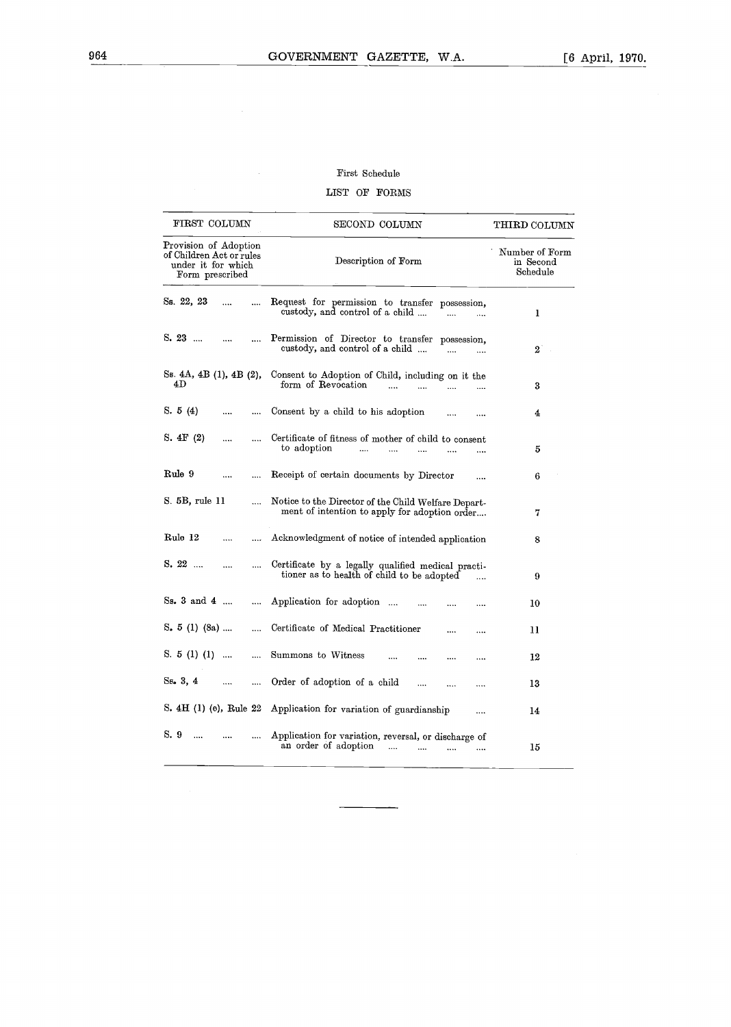# First Schedule

# LIST OF FORMS

|                                       | First Schedule                                                                                                                                                        |                                                                                                                                                                                                                                                                                                                                                                                                                                                                                                                     |
|---------------------------------------|-----------------------------------------------------------------------------------------------------------------------------------------------------------------------|---------------------------------------------------------------------------------------------------------------------------------------------------------------------------------------------------------------------------------------------------------------------------------------------------------------------------------------------------------------------------------------------------------------------------------------------------------------------------------------------------------------------|
|                                       | LIST OF FORMS                                                                                                                                                         |                                                                                                                                                                                                                                                                                                                                                                                                                                                                                                                     |
| FIRST COLUMN                          | SECOND COLUMN                                                                                                                                                         | THIRD COLUMN                                                                                                                                                                                                                                                                                                                                                                                                                                                                                                        |
| under it for which<br>Form prescribed | Description of Form                                                                                                                                                   | Number of Form<br>in Second<br>Schedule                                                                                                                                                                                                                                                                                                                                                                                                                                                                             |
| Ss. 22, 23<br>                        | custody, and control of a child<br>$\ddotsc$<br>$\cdots$                                                                                                              | 1                                                                                                                                                                                                                                                                                                                                                                                                                                                                                                                   |
| $S. 23$<br>$\cdots$                   | custody, and control of a child<br>$\cdots$<br>                                                                                                                       | $\boldsymbol{2}$                                                                                                                                                                                                                                                                                                                                                                                                                                                                                                    |
| 4D                                    | form of Revocation<br>$\cdots$<br>$\cdots$<br>$\cdots$<br>                                                                                                            | 3                                                                                                                                                                                                                                                                                                                                                                                                                                                                                                                   |
| S. $5(4)$<br>                         |                                                                                                                                                                       | 4                                                                                                                                                                                                                                                                                                                                                                                                                                                                                                                   |
| S. $4F(2)$<br>$\cdots$                | to adoption<br><br>$\cdots$<br>                                                                                                                                       | 5                                                                                                                                                                                                                                                                                                                                                                                                                                                                                                                   |
| Rule 9<br>$\cdots$                    | $\cdots$                                                                                                                                                              | 6                                                                                                                                                                                                                                                                                                                                                                                                                                                                                                                   |
| S. 5B, rule 11                        | ment of intention to apply for adoption order                                                                                                                         | 7                                                                                                                                                                                                                                                                                                                                                                                                                                                                                                                   |
| Rule 12<br>                           | Acknowledgment of notice of intended application                                                                                                                      | 8                                                                                                                                                                                                                                                                                                                                                                                                                                                                                                                   |
| $S. 22$<br>                           | Certificate by a legally qualified medical practi-<br>tioner as to health of child to be adopted<br>                                                                  | 9                                                                                                                                                                                                                                                                                                                                                                                                                                                                                                                   |
| Ss. 3 and 4                           | <br><br>                                                                                                                                                              | 10                                                                                                                                                                                                                                                                                                                                                                                                                                                                                                                  |
| S. $5(1)(8a)$                         | <br>                                                                                                                                                                  | 11                                                                                                                                                                                                                                                                                                                                                                                                                                                                                                                  |
| S. $5(1)(1)$                          | $\cdots$<br><br><br>                                                                                                                                                  | 12                                                                                                                                                                                                                                                                                                                                                                                                                                                                                                                  |
| Ss. 3, 4<br>                          | Order of adoption of a child<br><br>$\cdots$<br>                                                                                                                      | 13                                                                                                                                                                                                                                                                                                                                                                                                                                                                                                                  |
|                                       | $\cdots$                                                                                                                                                              | 14                                                                                                                                                                                                                                                                                                                                                                                                                                                                                                                  |
| S. 9<br>$\cdots$<br>                  | Application for variation, reversal, or discharge of                                                                                                                  |                                                                                                                                                                                                                                                                                                                                                                                                                                                                                                                     |
|                                       | Provision of Adoption<br>of Children Act or rules<br><br>Ss. 4A, 4B (1), 4B (2),<br>$\cdots$<br>$\cdots$<br>$\cdots$<br><br><br><br>$\cdots$<br>aa aa<br><br>$\cdots$ | Request for permission to transfer possession,<br>Permission of Director to transfer possession,<br>Consent to Adoption of Child, including on it the<br>Consent by a child to his adoption<br>Certificate of fitness of mother of child to consent<br>Receipt of certain documents by Director<br>Notice to the Director of the Child Welfare Depart-<br>Application for adoption<br>Certificate of Medical Practitioner<br>Summons to Witness<br>S. 4H (1) (e), Rule 22 Application for variation of guardianship |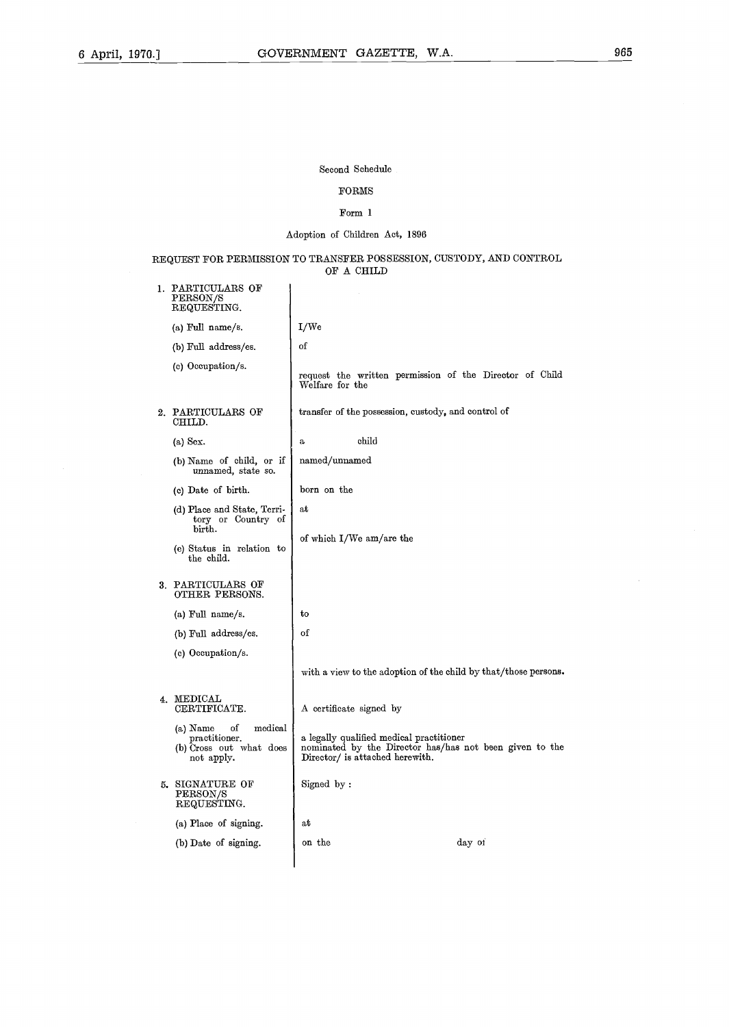Second Schedule

# FORMS

### Form 1

# Adoption of Children Act, 1896

### REQUEST FOR PERMISSION TO TRANSFER POSSESSION, CUSTODY, AND CONTROL OF A CHILD

| 1. | PARTICULARS OF<br>$\mathrm{PERSON}/\mathrm{S}$<br>REQUESTING.                       |                                                                                                                                        |
|----|-------------------------------------------------------------------------------------|----------------------------------------------------------------------------------------------------------------------------------------|
|    | (a) Full name/s.                                                                    | I/We                                                                                                                                   |
|    | (b) Full address/es.                                                                | of                                                                                                                                     |
|    | (c) Occupation/s.                                                                   | request the written permission of the Director of Child<br>Welfare for the                                                             |
|    | 2. PARTICULARS OF<br>CHILD.                                                         | transfer of the possession, custody, and control of                                                                                    |
|    | $(a)$ Sex.                                                                          | child<br>$\mathbf{a}$                                                                                                                  |
|    | (b) Name of child, or if<br>unnamed, state so.                                      | named/unnamed                                                                                                                          |
|    | (c) Date of birth.                                                                  | born on the                                                                                                                            |
|    | (d) Place and State, Terri-<br>tory or Country of<br>birth.                         | at                                                                                                                                     |
|    | (e) Status in relation to<br>the child.                                             | of which I/We am/are the                                                                                                               |
|    | 3. PARTICULARS OF<br>OTHER PERSONS.                                                 |                                                                                                                                        |
|    | (a) Full name/s.                                                                    | to                                                                                                                                     |
|    | (b) Full address/es.                                                                | of                                                                                                                                     |
|    | (c) Occupation/s.                                                                   |                                                                                                                                        |
|    |                                                                                     | with a view to the adoption of the child by that/those persons.                                                                        |
|    | 4. MEDICAL<br>CERTIFICATE.                                                          | A certificate signed by                                                                                                                |
|    | medical<br>(a) Name<br>οf<br>practitioner.<br>(b) Cross out what does<br>not apply. | a legally qualified medical practitioner<br>nominated by the Director has/has not been given to the<br>Director/ is attached herewith. |
|    | 5. SIGNATURE OF<br>PERSON/S<br>REQUESTING.                                          | Signed by:                                                                                                                             |
|    | (a) Place of signing.                                                               | аt                                                                                                                                     |
|    | (b) Date of signing.                                                                | day of<br>on the                                                                                                                       |
|    |                                                                                     |                                                                                                                                        |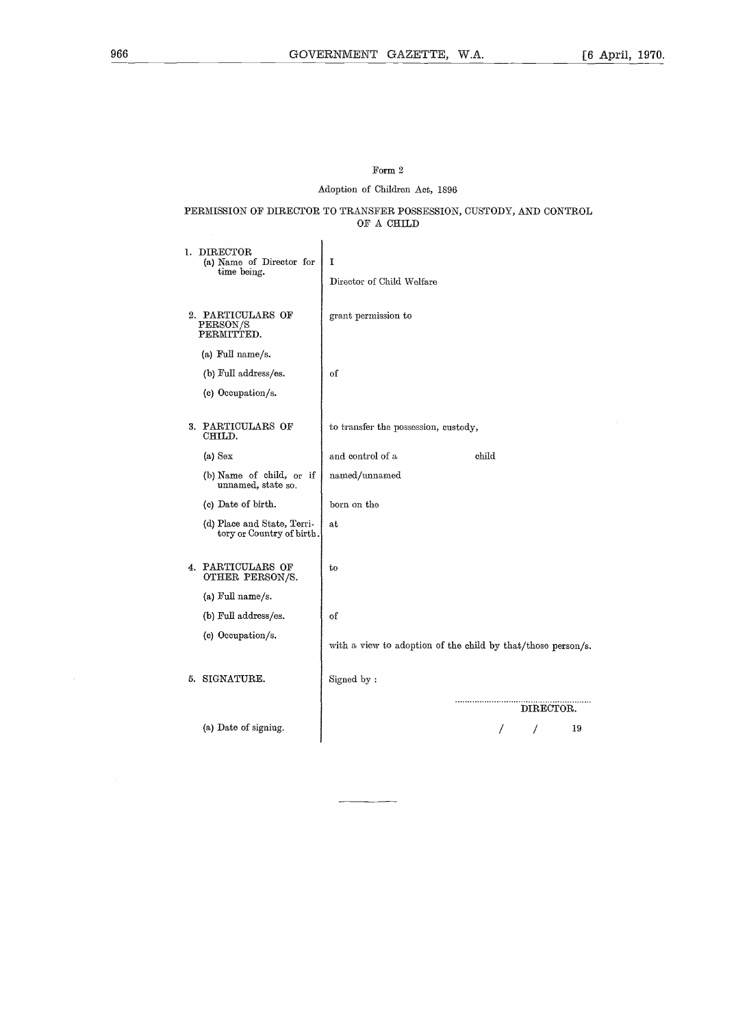# Form  $2\,$ Adoption of Children Act, 1896

PERMISSION OF DIRECTOR TO TRANSFER POSSESSION, CUSTODY, AND CONTROL OF A CHILD

| ı. | $\rm{DIRECTOR}$<br>(a) Name of Director for<br>time being. | I<br>Director of Child Welfare                               |
|----|------------------------------------------------------------|--------------------------------------------------------------|
|    | 2. PARTICULARS OF<br>PERSON/S<br>PERMITTED.                | grant permission to                                          |
|    | (a) Full name/s.                                           |                                                              |
|    | (b) Full address/es.                                       | of                                                           |
|    | (c) Occupation/s.                                          |                                                              |
|    |                                                            |                                                              |
|    | 3. PARTICULARS OF<br>CHILD.                                | to transfer the possession, custody,                         |
|    | $(a)$ Sex                                                  | child<br>and control of a                                    |
|    | (b) Name of child, or if<br>unnamed, state so.             | named/unnamed                                                |
|    | (c) Date of birth.                                         | born on the                                                  |
|    | (d) Place and State, Terri-<br>tory or Country of birth.   | at                                                           |
|    | 4. PARTICULARS OF<br>OTHER PERSON/S.                       | to                                                           |
|    | (a) Full name/s.                                           |                                                              |
|    | (b) Full address/es.                                       | of                                                           |
|    | (c) Occupation/s.                                          | with a view to adoption of the child by that/those person/s. |
|    | 5. SIGNATURE.                                              | Signed by:                                                   |
|    |                                                            | DIRECTOR.                                                    |
|    | (a) Date of signing.                                       | 19<br>Ι                                                      |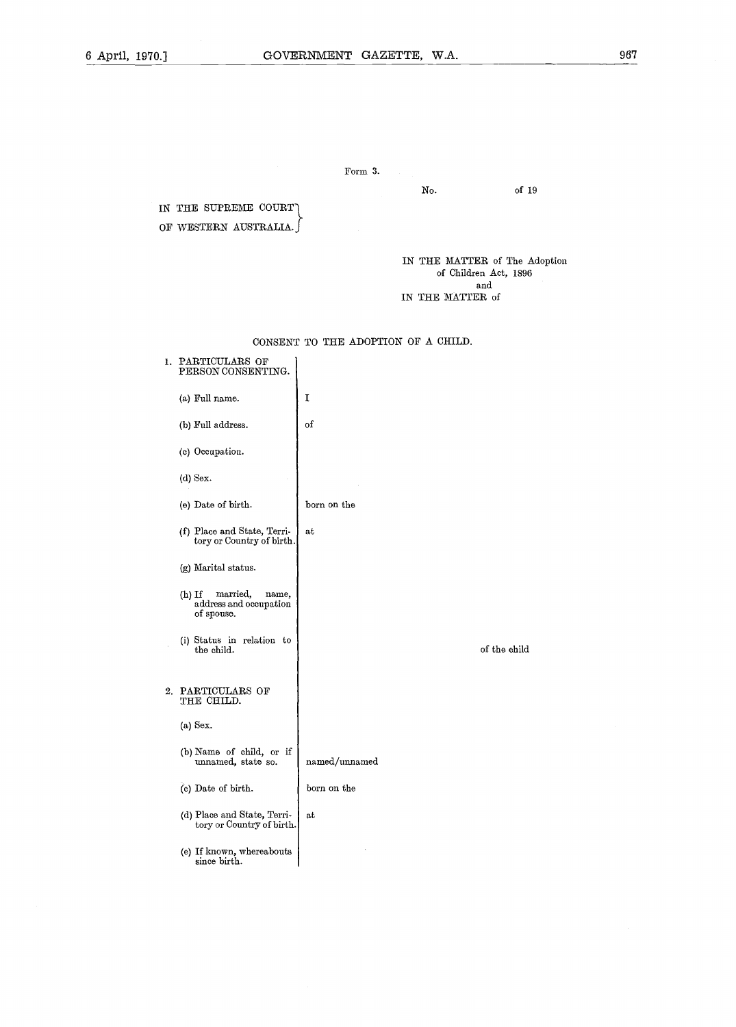# Form 3.

of 19

No.

IN THE SUPREME COURT OF WESTERN AUSTRALIA.

> IN THE MATTER of The Adoption of Children Act, 1896 and IN THE MATTER of

CONSENT TO THE ADOPTION OF A CHILD.

| ı. | PARTICULARS OF<br>PERSON CONSENTING.                                  |               |
|----|-----------------------------------------------------------------------|---------------|
|    | (a) Full name.                                                        | 1             |
|    | (b) Full address.                                                     | of            |
|    | (c) Occupation.                                                       |               |
|    | $(d)$ Sex.                                                            |               |
|    | (e) Date of birth.                                                    | born on the   |
|    | (f) Place and State, Terri-<br>tory or Country of birth.              | at            |
|    | (g) Marital status.                                                   |               |
|    | $(h)$ If<br>married,<br>name,<br>address and occupation<br>of spouse. |               |
|    | (i) Status in relation to<br>the child.                               | of the child  |
|    | 2. PARTICULARS OF<br>THE CHILD.                                       |               |
|    | $(a)$ Sex.                                                            |               |
|    | (b) Name of child, or if<br>unnamed, state so.                        | named/unnamed |
|    | (c) Date of birth.                                                    | born on the   |
|    | (d) Place and State, Terri-<br>tory or Country of birth.              | at            |
|    | (e) If known, whereabouts<br>since birth.                             |               |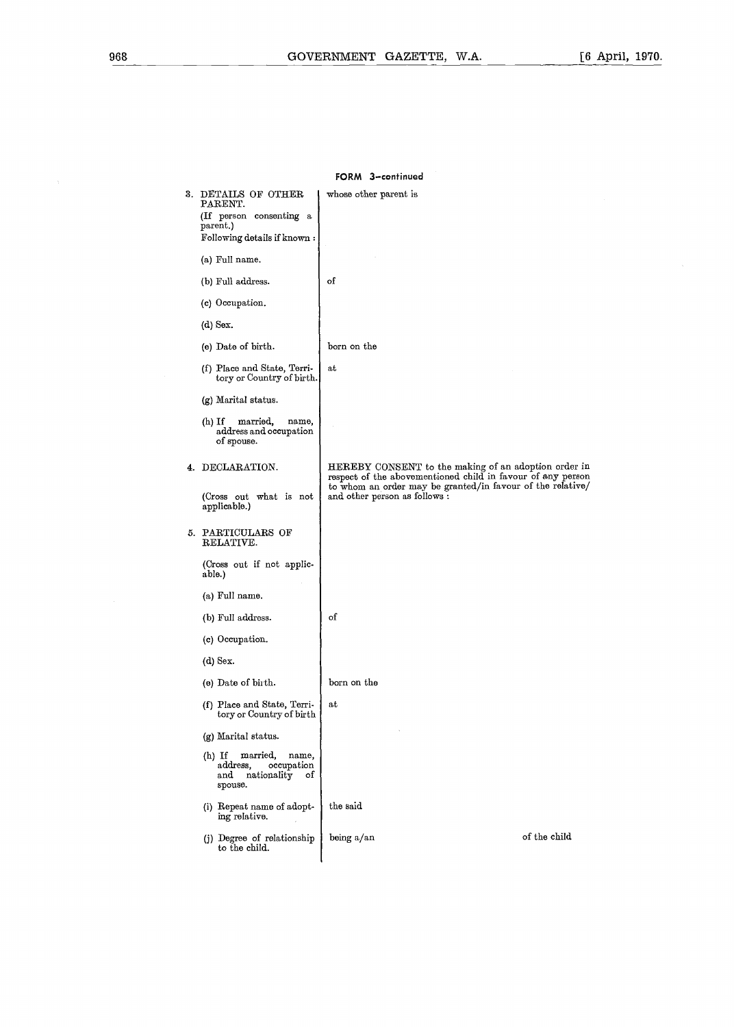| FORM 3-continued |                                                                                                       |                                                                                                                     |  |
|------------------|-------------------------------------------------------------------------------------------------------|---------------------------------------------------------------------------------------------------------------------|--|
|                  | 3. DETAILS OF OTHER<br>PARENT.<br>(If person consenting a<br>parent.)<br>Following details if known : | whose other parent is                                                                                               |  |
|                  | (a) Full name.                                                                                        |                                                                                                                     |  |
|                  | (b) Full address.                                                                                     | of                                                                                                                  |  |
|                  | (c) Occupation.                                                                                       |                                                                                                                     |  |
|                  | $(d)$ Sex.                                                                                            |                                                                                                                     |  |
|                  | (e) Date of birth.                                                                                    | born on the                                                                                                         |  |
|                  | (f) Place and State, Terri-<br>tory or Country of birth.                                              | at                                                                                                                  |  |
|                  | (g) Marital status.                                                                                   |                                                                                                                     |  |
|                  | $(h)$ If<br>married,<br>name,<br>address and occupation<br>of spouse.                                 |                                                                                                                     |  |
|                  | 4. DECLARATION.                                                                                       | HEREBY CONSENT to the making of an adoption order in<br>respect of the abovementioned child in favour of any person |  |
|                  | (Cross out what is not<br>applicable.)                                                                | to whom an order may be granted/in favour of the relative/<br>and other person as follows :                         |  |
|                  | 5. PARTICULARS OF<br>RELATIVE.                                                                        |                                                                                                                     |  |
|                  | (Cross out if not applic-<br>able.)                                                                   |                                                                                                                     |  |
|                  | (a) Full name.                                                                                        |                                                                                                                     |  |
|                  | (b) Full address.                                                                                     | of                                                                                                                  |  |
|                  | (c) Occupation.                                                                                       |                                                                                                                     |  |
|                  | $(d)$ Sex.                                                                                            |                                                                                                                     |  |
|                  | (e) Date of birth.                                                                                    | born on the                                                                                                         |  |
|                  | (f) Place and State, Terri-<br>tory or Country of birth                                               | at                                                                                                                  |  |
|                  | (g) Marital status.                                                                                   |                                                                                                                     |  |
|                  | $(h)$ If<br>married,<br>name,<br>address,<br>occupation<br>and<br>nationality<br>οf<br>spouse.        |                                                                                                                     |  |
|                  | (i) Repeat name of adopt-<br>ing relative.                                                            | the said                                                                                                            |  |
|                  | (j) Degree of relationship<br>to the child.                                                           | of the child<br>being a/an                                                                                          |  |
|                  |                                                                                                       |                                                                                                                     |  |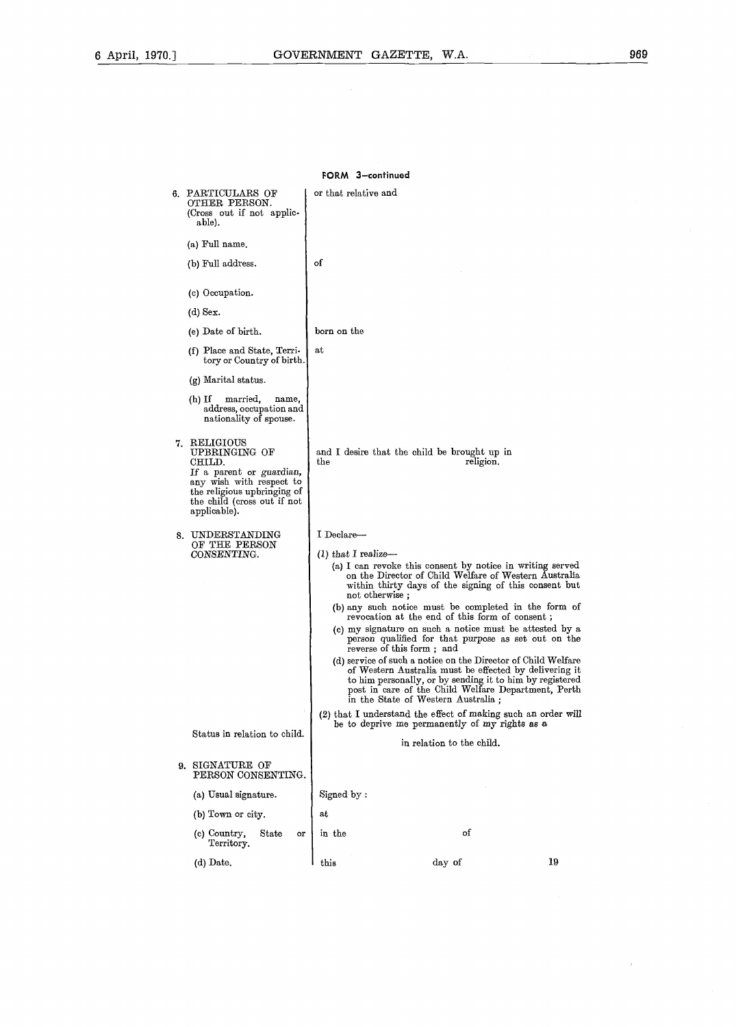$\overline{1}$ 

| FORM 3-continued                                                                                                                                                              |                                     |                                                                                                                                                                                                                                                                                                                                                                                                                                                                                                                                                                                                                                                                                                                                                                                                                                                               |    |
|-------------------------------------------------------------------------------------------------------------------------------------------------------------------------------|-------------------------------------|---------------------------------------------------------------------------------------------------------------------------------------------------------------------------------------------------------------------------------------------------------------------------------------------------------------------------------------------------------------------------------------------------------------------------------------------------------------------------------------------------------------------------------------------------------------------------------------------------------------------------------------------------------------------------------------------------------------------------------------------------------------------------------------------------------------------------------------------------------------|----|
| 6. PARTICULARS OF<br>OTHER PERSON.<br>(Cross out if not applic-<br>able).                                                                                                     | or that relative and                |                                                                                                                                                                                                                                                                                                                                                                                                                                                                                                                                                                                                                                                                                                                                                                                                                                                               |    |
| (a) Full name.                                                                                                                                                                |                                     |                                                                                                                                                                                                                                                                                                                                                                                                                                                                                                                                                                                                                                                                                                                                                                                                                                                               |    |
| (b) Full address.                                                                                                                                                             | of                                  |                                                                                                                                                                                                                                                                                                                                                                                                                                                                                                                                                                                                                                                                                                                                                                                                                                                               |    |
| (c) Occupation.                                                                                                                                                               |                                     |                                                                                                                                                                                                                                                                                                                                                                                                                                                                                                                                                                                                                                                                                                                                                                                                                                                               |    |
| $(d)$ Sex.                                                                                                                                                                    |                                     |                                                                                                                                                                                                                                                                                                                                                                                                                                                                                                                                                                                                                                                                                                                                                                                                                                                               |    |
| (e) Date of birth.                                                                                                                                                            | born on the                         |                                                                                                                                                                                                                                                                                                                                                                                                                                                                                                                                                                                                                                                                                                                                                                                                                                                               |    |
| (f) Place and State, Terri-<br>tory or Country of birth.                                                                                                                      | at                                  |                                                                                                                                                                                                                                                                                                                                                                                                                                                                                                                                                                                                                                                                                                                                                                                                                                                               |    |
| (g) Marital status.                                                                                                                                                           |                                     |                                                                                                                                                                                                                                                                                                                                                                                                                                                                                                                                                                                                                                                                                                                                                                                                                                                               |    |
| $(h)$ If<br>married,<br>name,<br>address, occupation and<br>nationality of spouse.                                                                                            |                                     |                                                                                                                                                                                                                                                                                                                                                                                                                                                                                                                                                                                                                                                                                                                                                                                                                                                               |    |
| 7. RELIGIOUS<br>UPBRINGING OF<br>CHILD.<br>If a parent or guardian,<br>any wish with respect to<br>the religious upbringing of<br>the child (cross out if not<br>applicable). | the                                 | and I desire that the child be brought up in<br>religion.                                                                                                                                                                                                                                                                                                                                                                                                                                                                                                                                                                                                                                                                                                                                                                                                     |    |
| 8. UNDERSTANDING<br>OF THE PERSON<br>CONSENTING.                                                                                                                              | I Declare-<br>$(l)$ that I realize- | (a) I can revoke this consent by notice in writing served<br>on the Director of Child Welfare of Western Australia<br>within thirty days of the signing of this consent but<br>not otherwise;<br>(b) any such notice must be completed in the form of<br>revocation at the end of this form of consent;<br>(c) my signature on such a notice must be attested by a<br>person qualified for that purpose as set out on the<br>reverse of this form; and<br>(d) service of such a notice on the Director of Child Welfare<br>of Western Australia must be effected by delivering it<br>to him personally, or by sending it to him by registered<br>post in care of the Child Welfare Department, Perth<br>in the State of Western Australia;<br>(2) that I understand the effect of making such an order will<br>be to deprive me permanently of my rights as a |    |
| Status in relation to child.                                                                                                                                                  |                                     | in relation to the child.                                                                                                                                                                                                                                                                                                                                                                                                                                                                                                                                                                                                                                                                                                                                                                                                                                     |    |
| 9. SIGNATURE OF<br>PERSON CONSENTING.                                                                                                                                         |                                     |                                                                                                                                                                                                                                                                                                                                                                                                                                                                                                                                                                                                                                                                                                                                                                                                                                                               |    |
| (a) Usual signature.                                                                                                                                                          | Signed by:                          |                                                                                                                                                                                                                                                                                                                                                                                                                                                                                                                                                                                                                                                                                                                                                                                                                                                               |    |
| (b) Town or city.                                                                                                                                                             | at                                  |                                                                                                                                                                                                                                                                                                                                                                                                                                                                                                                                                                                                                                                                                                                                                                                                                                                               |    |
| (c) Country,<br>$_{\rm State}$<br>or<br>Territory.                                                                                                                            | in the                              | of                                                                                                                                                                                                                                                                                                                                                                                                                                                                                                                                                                                                                                                                                                                                                                                                                                                            |    |
| (d) Date.                                                                                                                                                                     | this                                | day of                                                                                                                                                                                                                                                                                                                                                                                                                                                                                                                                                                                                                                                                                                                                                                                                                                                        | 19 |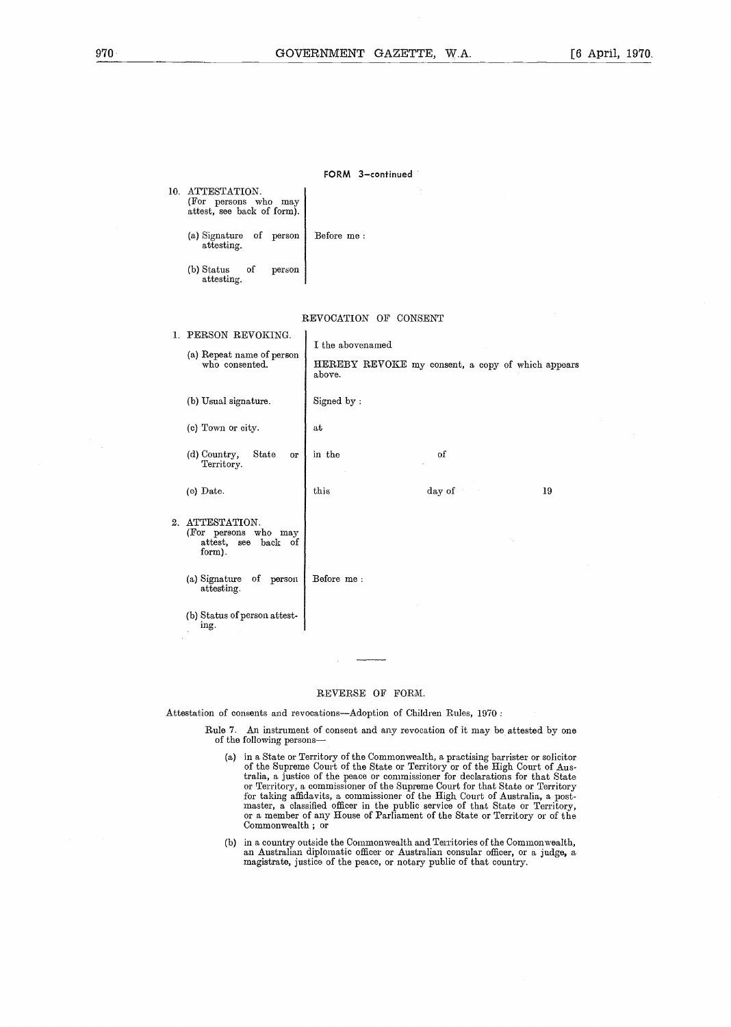FORM 3-continued

| $970 -$ |                                                                     | <b>GOVERNMENT</b><br>G |
|---------|---------------------------------------------------------------------|------------------------|
|         |                                                                     |                        |
|         |                                                                     |                        |
|         |                                                                     |                        |
|         |                                                                     | FORM 3-con             |
|         | 10. ATTESTATION.<br>(For persons who may attest, see back of form). |                        |
|         | (a) Signature<br>of person<br>attesting.                            | Before $\, {\rm me}$ : |
|         |                                                                     |                        |
|         | (b) Status<br>of<br>person<br>attesting.                            |                        |

(b) Status of person attest-ing .

#### REVOCATION OF CONSENT

| 1. | PERSON REVOKING.<br>(a) Repeat name of person<br>who consented.          | I the abovenamed<br>above. | HEREBY REVOKE my consent, a copy of which appears |    |
|----|--------------------------------------------------------------------------|----------------------------|---------------------------------------------------|----|
|    | (b) Usual signature.                                                     | Signed by:                 |                                                   |    |
|    | (c) Town or city.                                                        | at                         |                                                   |    |
|    | (d) Country,<br>State<br><b>or</b><br>Territory.                         | in the                     | οf                                                |    |
|    | (e) Date.                                                                | this                       | day of                                            | 19 |
| 2. | ATTESTATION.<br>(For persons who may<br>attest, see<br>back of<br>form). |                            |                                                   |    |
|    | of<br>(a) Signature<br>person<br>attesting.                              | Before me:                 |                                                   |    |
|    | (b) Status of person attest-<br>ino                                      |                            |                                                   |    |

#### REVERSE OF FORM.

Attestation of consents and revocations-Adoption of Children Rules, 1970:

Rule 7. An instrument of consent and any revocation of it may be attested by one of the following persons-

- of the Supreme Court of the State or Territory or of the High Court of Australia, a justice of the peace or commissioner for declarations for that State or Territory, a commissioner of the Supreme Court for that State or Territory for taking amuavits, a commissioner of the High Court of Australia, a pos master, a classified officer in the public service of that State or Territory, or a member of any House of Parliament of the State or Territory or of the Commonwealth ; or
- (b) in a country outside the Commonwealth and Territories of the Commonwealth, an Australian diplomatic officer or Australian consular officer, or a judge, a magistrate, justice of the peace, or notary public of that country .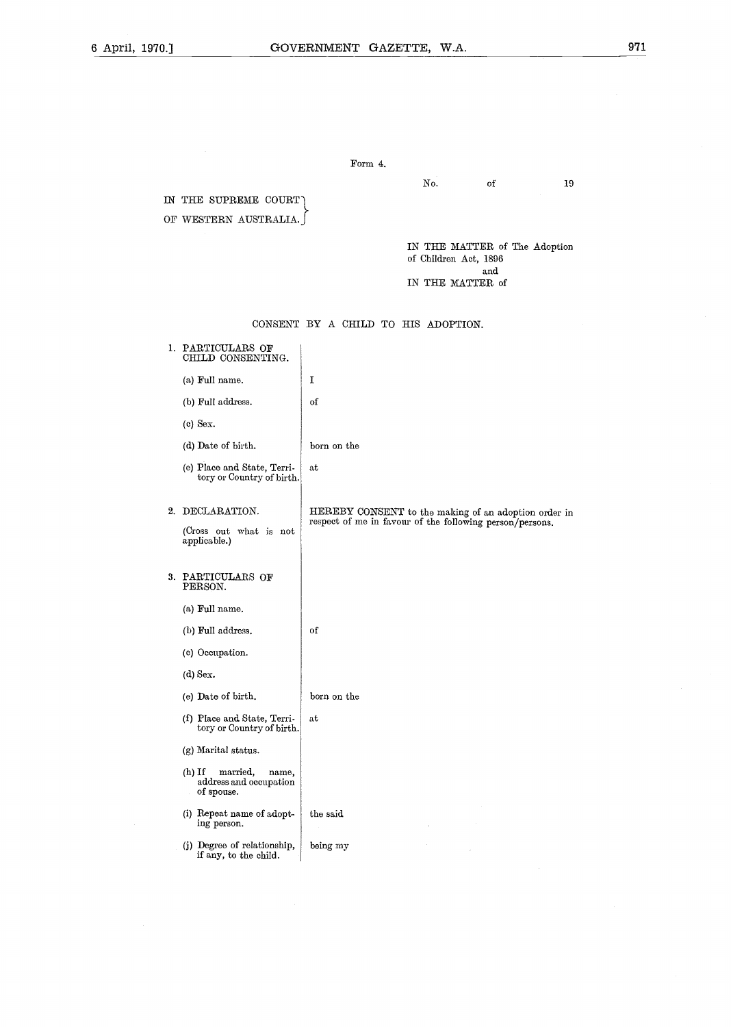#### Form 4.

No. of 19

IN THE SUPREME COURT OF WESTERN AUSTRALIA.

> IN THE MATTER of The Adoption of Children Act, 1896 and IN THE MATTER of

CONSENT BY A CHILD TO HIS ADOPTION.

# 1. PARTICULARS OF CHILD CONSENTING.

(a) Full name. (b) Full address.

(c) Sex.

(d) Date of birth.

2. DECLARATION.

applicable .)

born on the

of

 $\mathbf I$ 

at

of

(e) Place and State, Territory or Country of birth .

(Cross out what is not

HEREBY CONSENT to the making of an adoption order in respect of me in favour of the following person/persons .

#### 3. PARTICULARS OF PERSON.

- (a) Full name.
- (b) Full address.
- (c) Occupation.
- (d) Sex.
- (e) Date of birth. born on the
- (f) Place and State, Territory or Country of birth. at
- (g) Marital status.
- (h) If married, name, address and occupation of spouse.
- (i) Repeat name of adopt-ing person . the said
- (j) Degree of relationship, if any, to the child. being my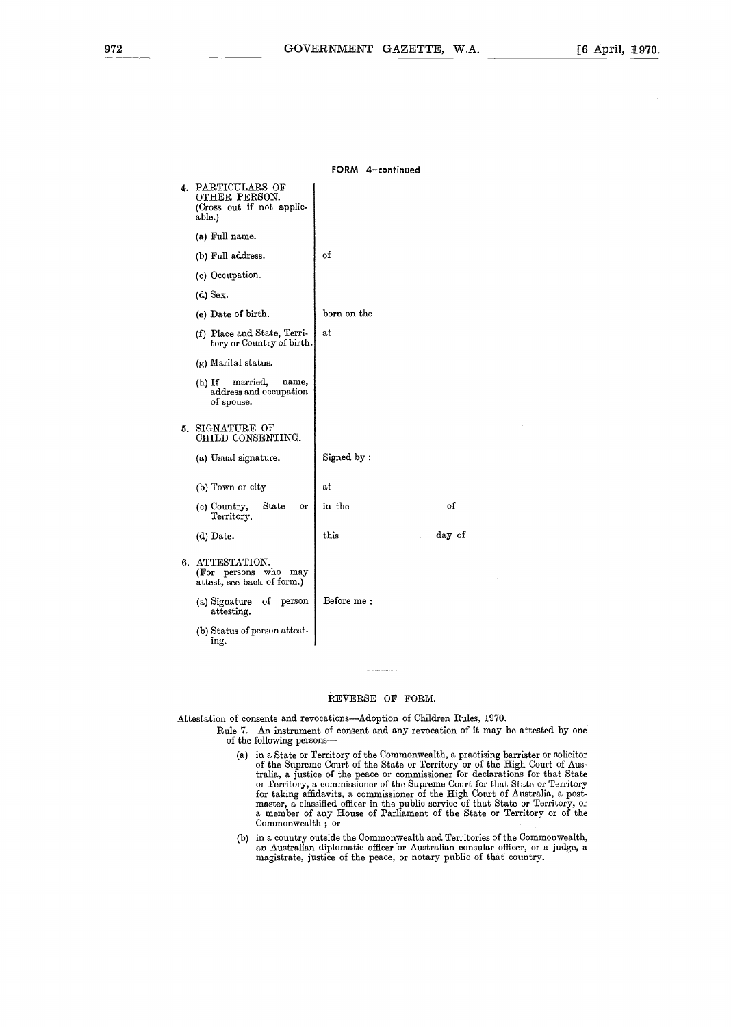FORM 4-continued

# 4. PARTICULARS OF OTHER PERSON. (Cross out if not applicable.) (a) Full name. (b) Full address. (c) Occupation.  $(d)$  Sex. (e) Date of birth. (f) Place and State, Territory or Country of birth . (g) Marital status. (h) If married, name, address and occupation of spouse. 5. SIGNATURE OF CHILD CONSENTING. (a) Usual signature. (b) Town or city (c) Country, State or Territory. (d) Date. 6. ATTESTATION. (For persons who may attest, see back of form.) (a) Signature of person attesting. (b) Status of person attestof at born on the Signed by at in the this 972 **GOVERNMENT GAZETTE, W**<br>
14. PARTICULARS OF<br>
COMBITED FRESCON.<br>
14. DETER FRESCON.<br>
COMBITED TRESCON.<br>
(Come out if not applie-<br>
take).<br>
(a) Full name.<br>
(b) Tull address.<br>
(c) Occupation.<br>
(d) Sex.<br>
(a) Deter birth.<br> Before me

#### REVERSE OF FORM.

Attestation of consents and revocations-Adoption of Children Rules, 1970.

ing .

- Rule 7. An instrument of consent and any revocation of it may be attested by one of the following persons-
	- (a) in a State or Territory of the Commonwealth, a practising barrister or solicitor of the Supreme Court of the State or Territory or of the High Court of Australia, a justice of the peace or commissioner for declarations for that State or Territory, a commissioner of the Supreme Court for that State or Territory for taking amdavits, a commissioner of the High Court of Australia, a post-<br>master, a classified officer in the public service of that State or Territory, or<br>a member of any House of Parliament of the State or Territory or Commonwealth ; or
	- (b) in a country outside the Commonwealth and Territories of the Commonwealth, an Australian diplomatic officer or Australian consular officer, or a judge, a magistrate, justice of the peace, or notary public of that country.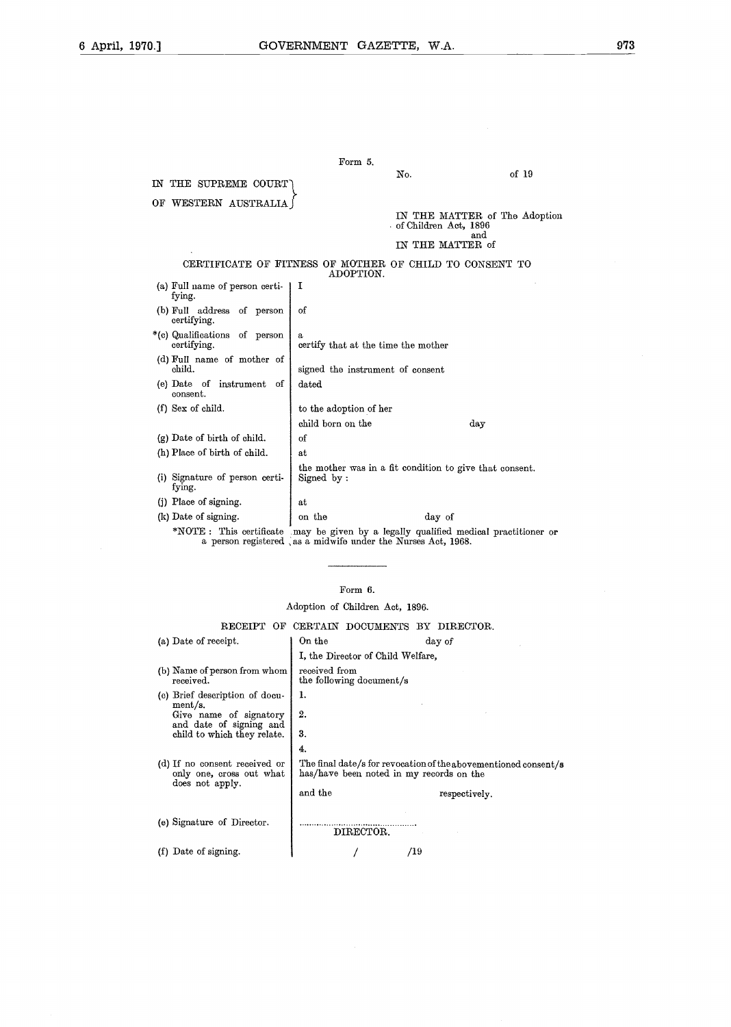|                                              | Form 5.                                                                                                                                             |                                      |
|----------------------------------------------|-----------------------------------------------------------------------------------------------------------------------------------------------------|--------------------------------------|
| IN THE SUPREME COURT                         | No.                                                                                                                                                 | of 19                                |
| OF WESTERN AUSTRALIA                         |                                                                                                                                                     |                                      |
|                                              | of Children Act, 1896                                                                                                                               | IN THE MATTER of The Adoption<br>and |
|                                              |                                                                                                                                                     | IN THE MATTER of                     |
|                                              | CERTIFICATE OF FITNESS OF MOTHER OF CHILD TO CONSENT TO<br>ADOPTION.                                                                                |                                      |
| (a) Full name of person certi-<br>fying.     | 1                                                                                                                                                   |                                      |
| (b) Full address of person<br>certifying.    | of                                                                                                                                                  |                                      |
| *(c) Qualifications of person<br>certifying. | a<br>certify that at the time the mother                                                                                                            |                                      |
| (d) Full name of mother of<br>child.         | signed the instrument of consent                                                                                                                    |                                      |
| (e) Date of instrument of<br>consent.        | $_{\rm dated}$                                                                                                                                      |                                      |
| (f) Sex of child.                            | to the adoption of her                                                                                                                              |                                      |
|                                              | child born on the                                                                                                                                   | day                                  |
| $(g)$ Date of birth of child.                | of                                                                                                                                                  |                                      |
| (h) Place of birth of child.                 | at                                                                                                                                                  |                                      |
| (i) Signature of person certi-<br>fying.     | the mother was in a fit condition to give that consent.<br>Signed by:                                                                               |                                      |
| (i) Place of signing.                        | at                                                                                                                                                  |                                      |
| (k) Date of signing.                         | on the<br>day of                                                                                                                                    |                                      |
|                                              | *NOTE: This certificate may be given by a legally qualified medical practitioner or<br>a person registered as a midwife under the Nurses Act, 1968. |                                      |

# Form 6.

# Adoption of Children Act, 1896.

#### RECEIPT OF CERTAIN DOCUMENTS BY DIRECTOR.

| (a) Date of receipt.                                                         | On the                                    | day of                                                                                                      |
|------------------------------------------------------------------------------|-------------------------------------------|-------------------------------------------------------------------------------------------------------------|
|                                                                              | I, the Director of Child Welfare,         |                                                                                                             |
| (b) Name of person from whom<br>received.                                    | received from<br>the following document/s |                                                                                                             |
| (c) Brief description of docu-                                               | 1.                                        |                                                                                                             |
| ment/s.<br>Give name of signatory<br>and date of signing and                 | 2.                                        |                                                                                                             |
| child to which they relate.                                                  | 3.                                        |                                                                                                             |
|                                                                              | 4.                                        |                                                                                                             |
| (d) If no consent received or<br>only one, cross out what<br>does not apply. |                                           | The final date/s for revocation of the abovementioned consent/s<br>has/have been noted in my records on the |
|                                                                              | and the                                   | respectively.                                                                                               |
| (e) Signature of Director.                                                   | DIRECTOR.                                 |                                                                                                             |
| Date of signing.<br>(f)                                                      |                                           | /19                                                                                                         |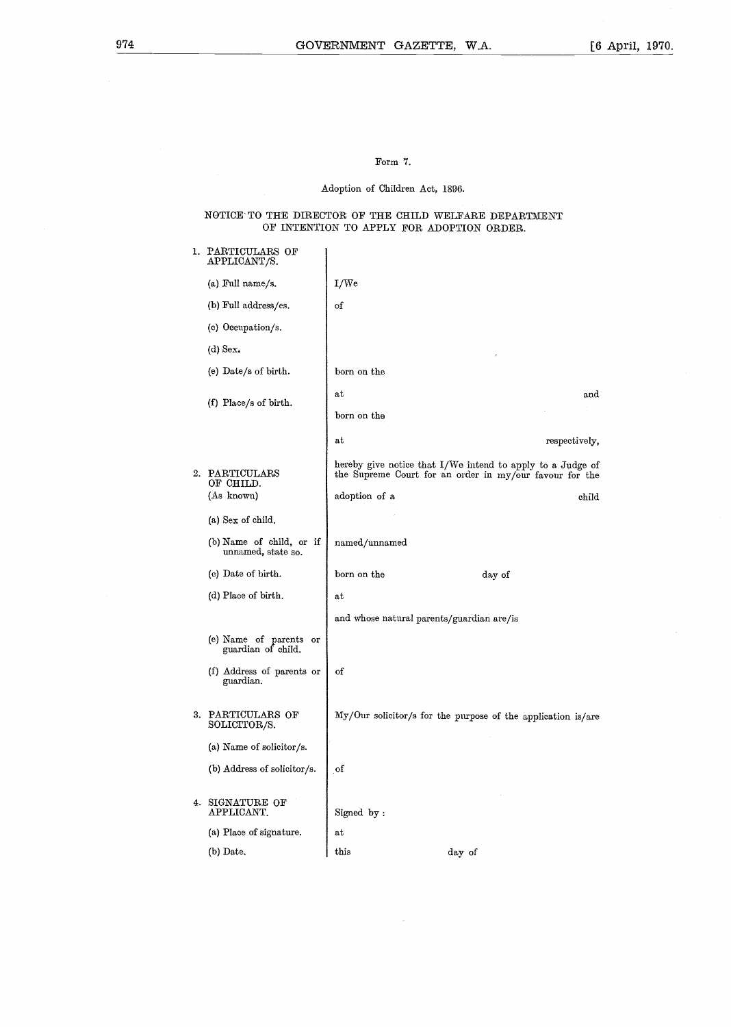#### Form 7.

# Adoption of Children Act, 1896.

#### NOTICE TO THE DIRECTOR OF THE CHILD WELFARE DEPARTMENT OF INTENTION TO APPLY FOR ADOPTION ORDER .

| 1. PARTICULARS OF<br>APPLICANT/S.              |                                           |                                                                                                                       |
|------------------------------------------------|-------------------------------------------|-----------------------------------------------------------------------------------------------------------------------|
| (a) Full name/s.                               | I/We                                      |                                                                                                                       |
| (b) Full address/es.                           | of                                        |                                                                                                                       |
| (c) Occupation/s.                              |                                           |                                                                                                                       |
| $(d)$ Sex.                                     |                                           |                                                                                                                       |
| (e) Date/s of birth.                           | born on the                               |                                                                                                                       |
|                                                | at                                        | and                                                                                                                   |
| (f) Place/s of birth.                          | born on the                               |                                                                                                                       |
|                                                | a t                                       | respectively,                                                                                                         |
| 2. PARTICULARS<br>OF CHILD.                    |                                           | hereby give notice that I/We intend to apply to a Judge of<br>the Supreme Court for an order in my/our favour for the |
| (As known)                                     | adoption of a                             | child                                                                                                                 |
| (a) Sex of child.                              |                                           |                                                                                                                       |
| (b) Name of child, or if<br>unnamed, state so. | named/unnamed                             |                                                                                                                       |
| (c) Date of birth.                             | born on the                               | day of                                                                                                                |
| (d) Place of birth.                            | $\mathbf{a}\mathbf{t}$                    |                                                                                                                       |
|                                                | and whose natural parents/guardian are/is |                                                                                                                       |
| (e) Name of parents or<br>guardian of child.   |                                           |                                                                                                                       |
| (f) Address of parents or<br>guardian.         | of                                        |                                                                                                                       |
| 3. PARTICULARS OF<br>SOLICITOR/S.              |                                           | My/Our solicitor/s for the purpose of the application is/are                                                          |
| (a) Name of solicitor/s.                       |                                           |                                                                                                                       |
| (b) Address of solicitor/s.                    | of                                        |                                                                                                                       |
| 4. SIGNATURE OF<br>APPLICANT.                  | Signed by:                                |                                                                                                                       |
| (a) Place of signature.                        | at                                        |                                                                                                                       |
| (b) Date.                                      | this                                      | day of                                                                                                                |

 $\mathcal{L}$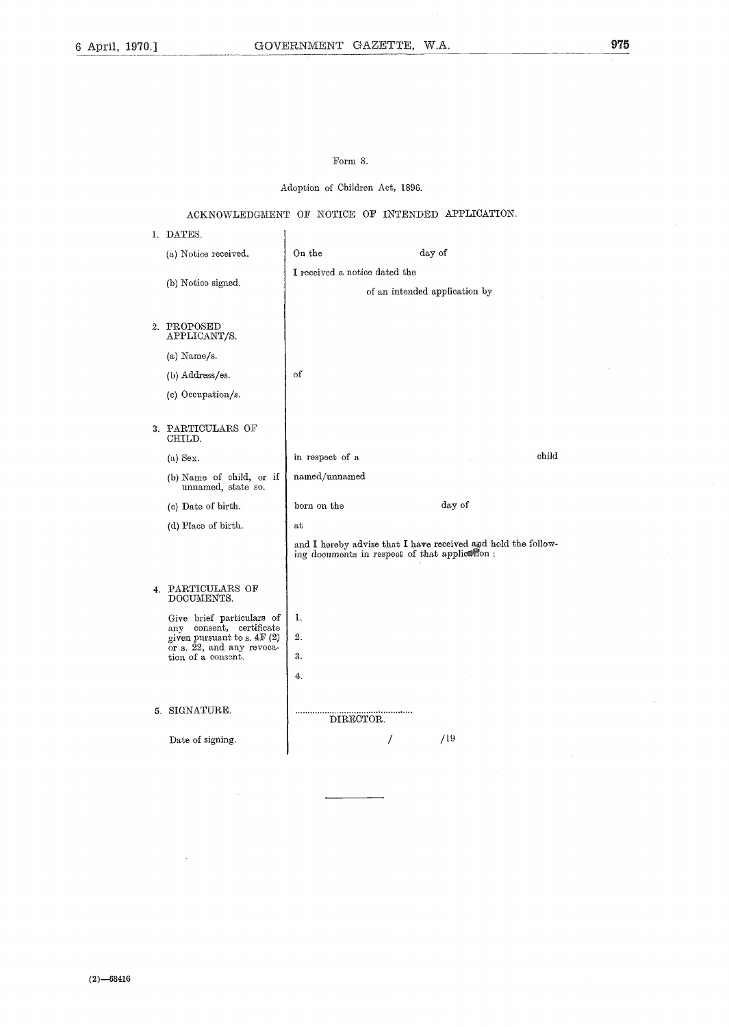# Form 8.

Adoption of Children Act, 1896.

# ACKNOWLEDGMENT OF NOTICE OF INTENDED APPLICATION.

 $\overline{1}$ 

1. DATES.

|    | (a) Notice received.                                     | On the                                        | day of                                                        |
|----|----------------------------------------------------------|-----------------------------------------------|---------------------------------------------------------------|
|    | (b) Notice signed.                                       | I received a notice dated the                 |                                                               |
|    |                                                          |                                               | of an intended application by                                 |
|    | 2. PROPOSED<br>APPLICANT/S.                              |                                               |                                                               |
|    | $(a)$ Name/s.                                            |                                               |                                                               |
|    | (b) Address/es.                                          | οf                                            |                                                               |
|    | (c) Occupation/s.                                        |                                               |                                                               |
| 3. | PARTICULARS OF<br>CHILD.                                 |                                               |                                                               |
|    | (a) Sex.                                                 | in respect of a                               | child                                                         |
|    | (b) Name of child, or if<br>unnamed, state so.           | named/unnamed                                 |                                                               |
|    | (c) Date of birth.                                       | born on the                                   | day of                                                        |
|    | (d) Place of birth.                                      | at                                            |                                                               |
|    |                                                          | ing documents in respect of that application: | and I hereby advise that I have received and hold the follow- |
| 4. | PARTICULARS OF<br>DOCUMENTS.                             |                                               |                                                               |
|    | Give brief particulars of                                | 1.                                            |                                                               |
|    | any consent, certificate<br>given pursuant to s. $4F(2)$ | 2.                                            |                                                               |
|    | or s. 22, and any revoca-<br>tion of a consent.          | 3.                                            |                                                               |
|    |                                                          | 4.                                            |                                                               |
|    | 5. SIGNATURE.                                            | DIRECTOR.                                     |                                                               |
|    | Date of signing.                                         |                                               | /19                                                           |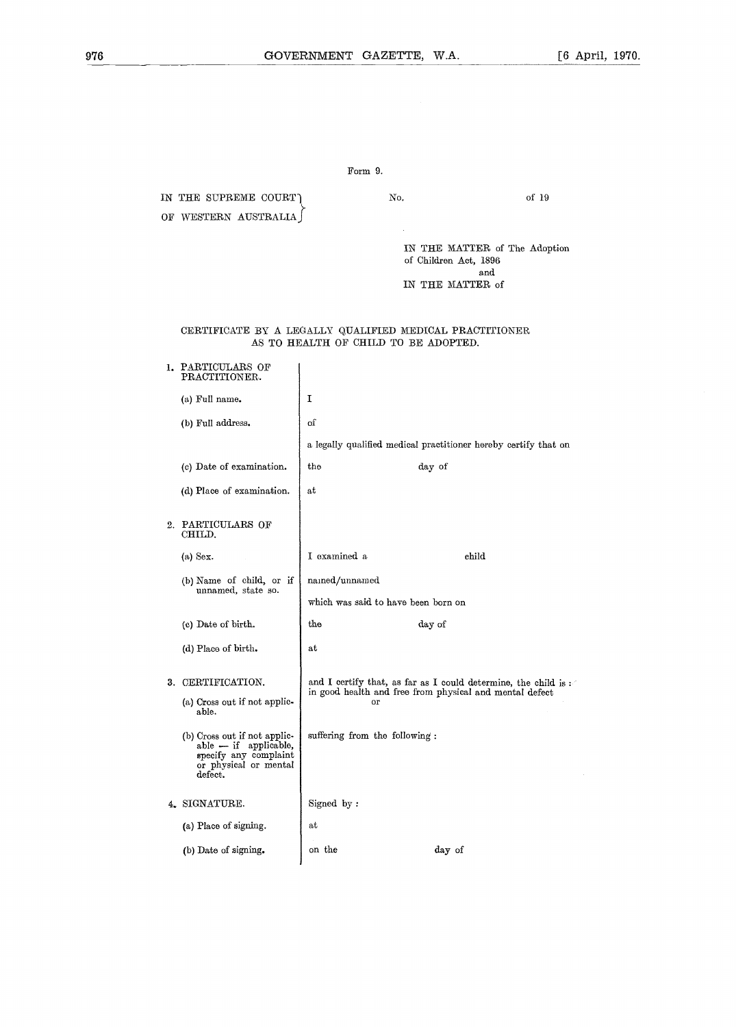# Form 9.

IN THE SUPREME COURT) No. of 19 OF WESTERN AUSTRALIA IN THE MATTER of The Adoption of Children Act, 1896

### and IN THE MATTER of

### CERTIFICATE BY A LEGALLY QUALIFIED MEDICAL PRACTITIONER AS TO HEALTH OF CHILD TO BE ADOPTED.

|    | 1. PARTICULARS OF<br>PRACTITIONER.                                                                                 |                                                                                                                                 |                                                                 |
|----|--------------------------------------------------------------------------------------------------------------------|---------------------------------------------------------------------------------------------------------------------------------|-----------------------------------------------------------------|
|    | (a) Full name.                                                                                                     | I                                                                                                                               |                                                                 |
|    | (b) Full address.                                                                                                  | οſ                                                                                                                              |                                                                 |
|    |                                                                                                                    |                                                                                                                                 | a legally qualified medical practitioner hereby certify that on |
|    | (c) Date of examination.                                                                                           | the                                                                                                                             | day of                                                          |
|    | (d) Place of examination.                                                                                          | at                                                                                                                              |                                                                 |
| 2. | PARTICULARS OF<br>CHILD.                                                                                           |                                                                                                                                 |                                                                 |
|    | $(a)$ Sex.                                                                                                         | I examined a                                                                                                                    | child                                                           |
|    | $(b)$ Name of child, or if<br>unnamed, state so.                                                                   | named/unnamed                                                                                                                   |                                                                 |
|    |                                                                                                                    | which was said to have been born on                                                                                             |                                                                 |
|    | (c) Date of birth.                                                                                                 | $_{the}$                                                                                                                        | day of                                                          |
|    | (d) Place of birth.                                                                                                | at                                                                                                                              |                                                                 |
| 3. | CERTIFICATION.<br>(a) Cross out if not applic-<br>able.                                                            | and I certify that, as far as I could determine, the child is:<br>in good health and free from physical and mental defect<br>or |                                                                 |
|    | (b) Cross out if not applic-<br>able - if applicable,<br>specify any complaint<br>or physical or mental<br>defect. | suffering from the following:                                                                                                   |                                                                 |
|    | 4. SIGNATURE.                                                                                                      | Signed by:                                                                                                                      |                                                                 |
|    | (a) Place of signing.                                                                                              | at                                                                                                                              |                                                                 |
|    | (b) Date of signing.                                                                                               | on the                                                                                                                          | day of                                                          |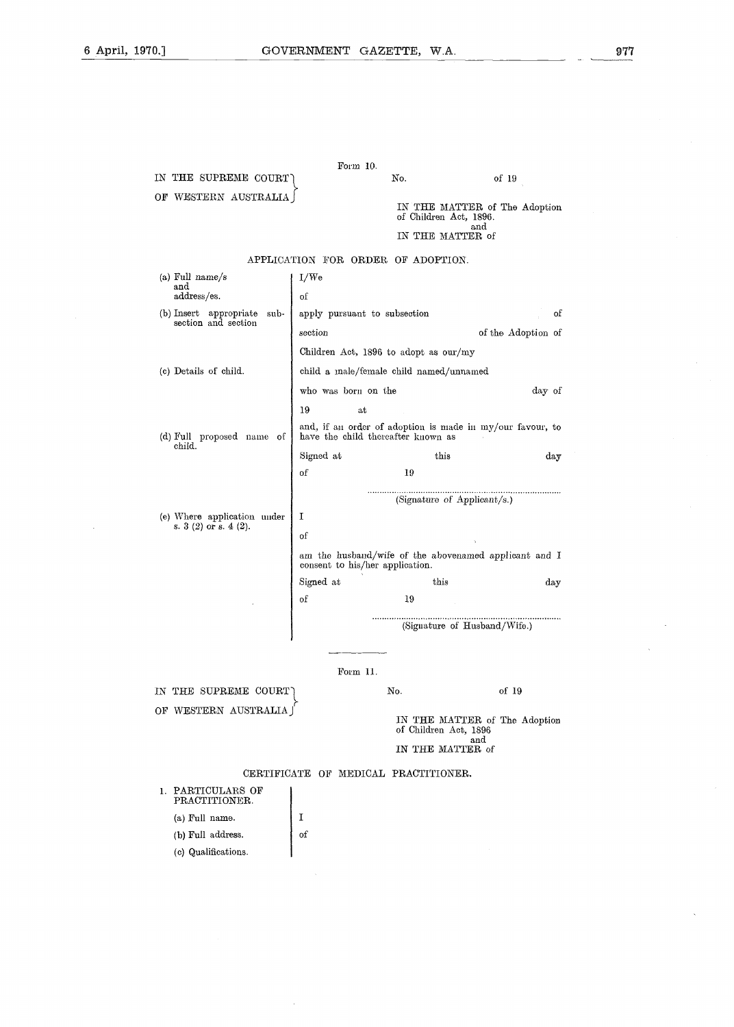OF WESTERN AUSTRALIA

IN THE SUPREME COURT

(b) Full address. (c) Qualifications. of

Form  $10$ .

No. of 19

|                                                         |                                                                                                 | of Children Act, 1896.               | IN THE MATTER of The Adoption |
|---------------------------------------------------------|-------------------------------------------------------------------------------------------------|--------------------------------------|-------------------------------|
|                                                         |                                                                                                 | IN THE MATTER of                     | and                           |
|                                                         |                                                                                                 |                                      |                               |
|                                                         |                                                                                                 | APPLICATION FOR ORDER OF ADOPTION.   |                               |
| (a) Full name/s<br>I/We<br>and                          |                                                                                                 |                                      |                               |
| address/es.                                             | of                                                                                              |                                      |                               |
| (b) Insert appropriate<br>sub-<br>section and section   |                                                                                                 | apply pursuant to subsection         | of                            |
|                                                         | section                                                                                         |                                      | of the Adoption of            |
|                                                         | Children Act, 1896 to adopt as our/my                                                           |                                      |                               |
| (c) Details of child.                                   | child a male/female child named/unnamed                                                         |                                      |                               |
|                                                         | who was born on the                                                                             |                                      | day of                        |
|                                                         | 19                                                                                              | at                                   |                               |
| (d) Full proposed name of<br>child.                     | and, if an order of adoption is made in my/our favour, to<br>have the child thereafter known as |                                      |                               |
|                                                         | Signed at                                                                                       | this                                 | day                           |
|                                                         | of                                                                                              | 19                                   |                               |
|                                                         |                                                                                                 | (Signature of Applicant/s.)          |                               |
| (e) Where application under                             | Τ                                                                                               |                                      |                               |
| s. $3(2)$ or s. $4(2)$ .                                | of                                                                                              |                                      |                               |
|                                                         | am the husband/wife of the abovenamed applicant and I                                           |                                      |                               |
|                                                         |                                                                                                 | consent to his/her application.      |                               |
|                                                         | Signed at                                                                                       | this                                 | day                           |
|                                                         | of                                                                                              | 19                                   |                               |
|                                                         |                                                                                                 |                                      | (Signature of Husband/Wife.)  |
|                                                         |                                                                                                 |                                      |                               |
|                                                         | Form 11.                                                                                        |                                      |                               |
| No.<br>of 19<br>IN THE SUPREME COURT                    |                                                                                                 |                                      |                               |
| OF WESTERN AUSTRALIA J<br>IN THE MATTER of The Adoption |                                                                                                 |                                      |                               |
|                                                         |                                                                                                 | of Children Act, 1896                | $_{\rm and}$                  |
|                                                         |                                                                                                 | IN THE MATTER of                     |                               |
|                                                         |                                                                                                 | CERTIFICATE OF MEDICAL PRACTITIONER. |                               |
| 1. PARTICULARS OF<br>PRACTITIONER.                      |                                                                                                 |                                      |                               |
| (a) Full name.                                          | I                                                                                               |                                      |                               |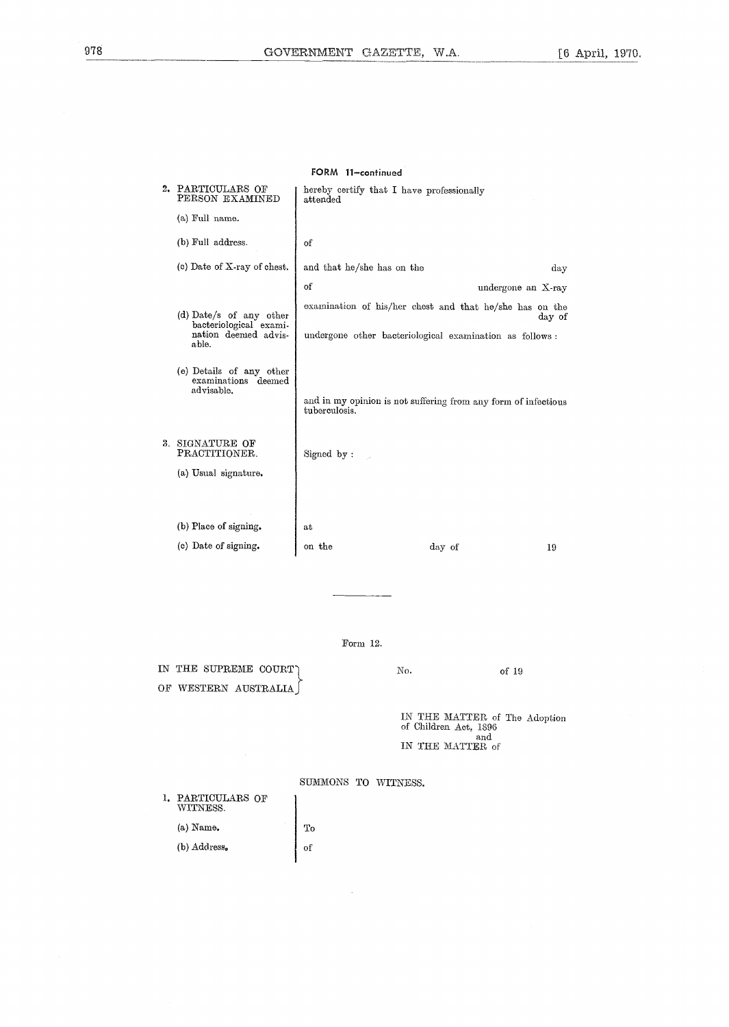|              | FORM 11-continued                                                                  |                                                                                 |                    |        |  |
|--------------|------------------------------------------------------------------------------------|---------------------------------------------------------------------------------|--------------------|--------|--|
|              | 2. PARTICULARS OF<br>PERSON EXAMINED                                               | hereby certify that I have professionally<br>attended                           |                    |        |  |
|              | (a) Full name.                                                                     |                                                                                 |                    |        |  |
|              | (b) Full address.                                                                  | of                                                                              |                    |        |  |
|              | (c) Date of X-ray of chest.                                                        | and that he/she has on the                                                      |                    | day    |  |
|              |                                                                                    | of                                                                              | undergone an X-ray |        |  |
|              | (d) Date/s of any other<br>bacteriological exami-<br>nation deemed advis-<br>able. | examination of his/her chest and that he/she has on the                         |                    | day of |  |
|              |                                                                                    | undergone other bacteriological examination as follows:                         |                    |        |  |
|              | (e) Details of any other<br>examinations deemed<br>advisable.                      | and in my opinion is not suffering from any form of infectious<br>tuberculosis. |                    |        |  |
| $\mathbf{R}$ | SIGNATURE OF<br>PRACTITIONER.                                                      | Signed by:                                                                      |                    |        |  |
|              | (a) Usual signature.                                                               |                                                                                 |                    |        |  |
|              |                                                                                    |                                                                                 |                    |        |  |
|              | (b) Place of signing.                                                              | at                                                                              |                    |        |  |
|              | (c) Date of signing.                                                               | on the                                                                          | day of             | 19     |  |
|              |                                                                                    |                                                                                 |                    |        |  |

Form 12.

IN THE SUPREME COURT) No. 30 No. 35 No. 36 OF 19 OF WESTERN AUSTRALIA

IN THE MATTER of The Adoption of Children Act, 1896 and IN THE MATTER of

1. PARTICULARS OF WITNESS. (a)  $\mathrm{Name}_{\pmb{\cdot}}$ To (b) Address.  $\sigma$ 

SUMMONS TO WITNESS.

 $\bar{z}$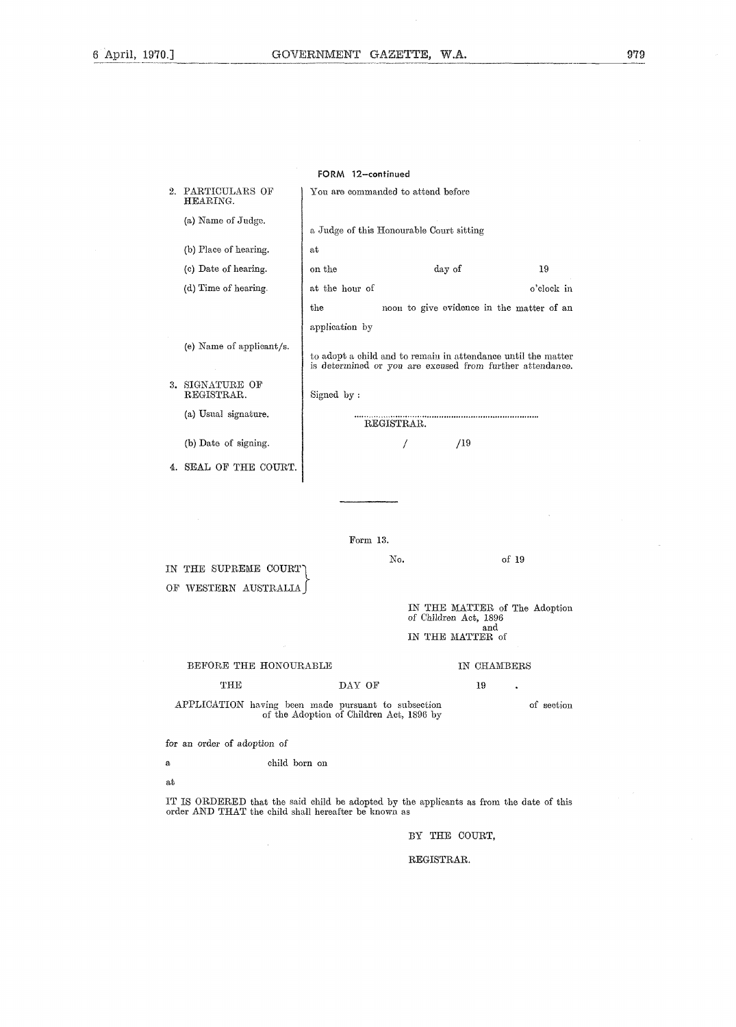979

|                                                        | FORM 12-continued                                            |                                                  |             |                                                                                                                            |  |  |
|--------------------------------------------------------|--------------------------------------------------------------|--------------------------------------------------|-------------|----------------------------------------------------------------------------------------------------------------------------|--|--|
|                                                        | 2. PARTICULARS OF<br>HEARING.                                | You are commanded to attend before               |             |                                                                                                                            |  |  |
|                                                        | (a) Name of Judge.                                           | a Judge of this Honourable Court sitting         |             |                                                                                                                            |  |  |
|                                                        | (b) Place of hearing.                                        | at                                               |             |                                                                                                                            |  |  |
|                                                        | (c) Date of hearing.                                         | on the                                           | day of      | 19                                                                                                                         |  |  |
|                                                        | (d) Time of hearing.                                         | at the hour of                                   |             | o'clock in                                                                                                                 |  |  |
|                                                        |                                                              | the<br>noon to give evidence in the matter of an |             |                                                                                                                            |  |  |
|                                                        | application by                                               |                                                  |             |                                                                                                                            |  |  |
|                                                        | (e) Name of applicant/s.                                     |                                                  |             | to adopt a child and to remain in attendance until the matter<br>is determined or you are excused from further attendance. |  |  |
|                                                        | 3. SIGNATURE OF<br>REGISTRAR.                                | Signed by:                                       |             |                                                                                                                            |  |  |
|                                                        | (a) Usual signature.                                         | REGISTRAR.                                       |             |                                                                                                                            |  |  |
|                                                        | (b) Date of signing.                                         |                                                  | /19<br>7    |                                                                                                                            |  |  |
|                                                        | 4. SEAL OF THE COURT.                                        |                                                  |             |                                                                                                                            |  |  |
|                                                        |                                                              |                                                  |             |                                                                                                                            |  |  |
|                                                        |                                                              | Form 13.                                         |             |                                                                                                                            |  |  |
|                                                        | No.<br>of 19<br>IN THE SUPREME COURT<br>OF WESTERN AUSTRALIA |                                                  |             |                                                                                                                            |  |  |
| IN THE MATTER of The Adoption<br>of Children Act, 1896 |                                                              |                                                  |             |                                                                                                                            |  |  |
| and<br>IN THE MATTER of                                |                                                              |                                                  |             |                                                                                                                            |  |  |
|                                                        | BEFORE THE HONOURABLE                                        |                                                  | IN CHAMBERS |                                                                                                                            |  |  |
| DAY OF<br>THE<br>19                                    |                                                              |                                                  |             |                                                                                                                            |  |  |
|                                                        | APPLICATION having been made pursuant to subsection          | of the Adoption of Children Act, 1896 by         |             | of section                                                                                                                 |  |  |
|                                                        | for an order of adoption of                                  |                                                  |             |                                                                                                                            |  |  |

 $\bf{a}$ child born on

at

IT IS ORDERED that the said child be adopted by the applicants as from the date of this order AND THAT the child shall hereafter be known as

BY THE COURT,

#### REGISTRAR.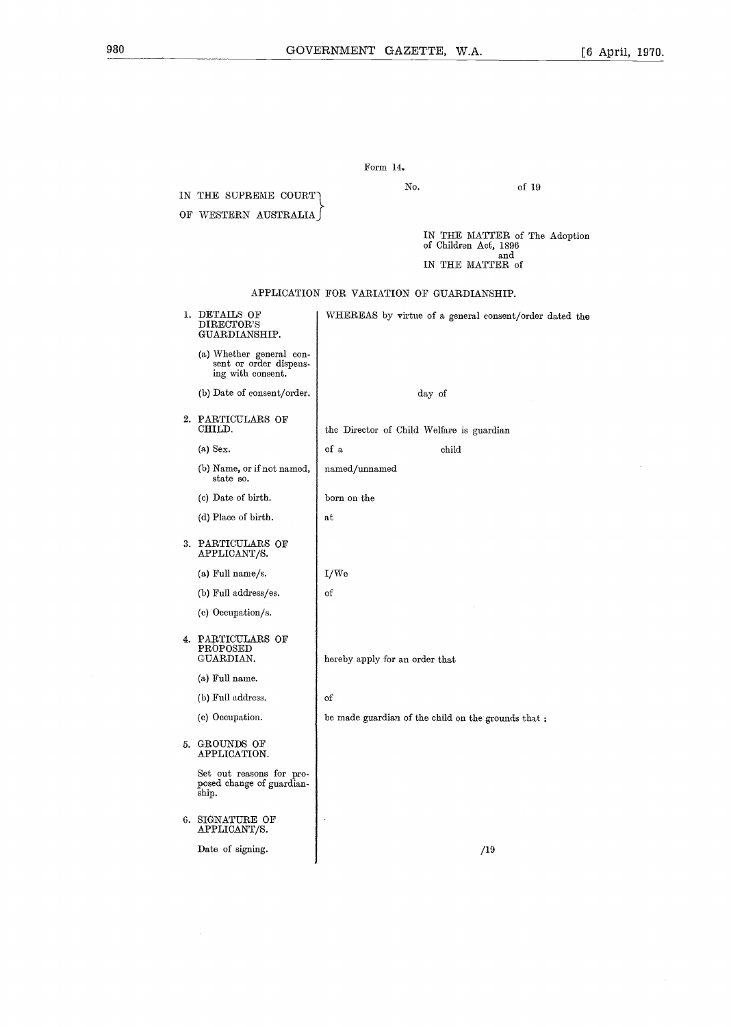| OF WESTERN AUSTRALIA                                                    |                                                        |
|-------------------------------------------------------------------------|--------------------------------------------------------|
|                                                                         | IN THE MATTER of The Adoption<br>of Children Act, 1896 |
|                                                                         | and<br>IN THE MATTER of                                |
|                                                                         | APPLICATION FOR VARIATION OF GUARDIANSHIP.             |
| 1. DETAILS OF<br>DIRECTOR'S<br>GUARDIANSHIP.                            | WHEREAS by virtue of a general consent/order dated the |
| (a) Whether general con-<br>sent or order dispens-<br>ing with consent. |                                                        |
| (b) Date of consent/order.                                              | day of                                                 |
| 2. PARTICULARS OF<br>CHILD.                                             | the Director of Child Welfare is guardian              |
| $(a)$ Sex.                                                              | of a<br>child                                          |
| (b) Name, or if not named,<br>state so.                                 | named/unnamed                                          |
| (c) Date of birth.                                                      | born on the                                            |
| (d) Place of birth.                                                     | аt                                                     |
| 3. PARTICULARS OF<br>APPLICANT/S.                                       |                                                        |
| (a) Full name/s.                                                        | I/W <sub>e</sub>                                       |
| (b) Full address/es.                                                    | of                                                     |
| (c) Occupation/s.                                                       |                                                        |
| 4. PARTICULARS OF<br>PROPOSED<br>GUARDIAN.                              | hereby apply for an order that                         |
| (a) Full name.                                                          |                                                        |
| (b) Full address.                                                       | of                                                     |
| (c) Occupation.                                                         | be made guardian of the child on the grounds that:     |
| 5. GROUNDS OF<br>APPLICATION.                                           |                                                        |
| Set out reasons for pro-<br>posed change of guardian-<br>ship.          |                                                        |
| 6. SIGNATURE OF<br>APPLICANT/S.                                         |                                                        |
| Date of signing.                                                        | /19                                                    |
|                                                                         |                                                        |

Form 14.

IN THE SUPREME COURT

No.

of 19